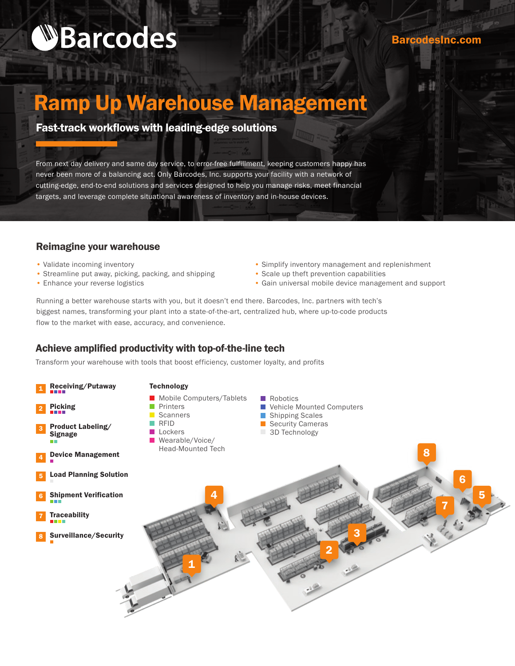# **WBarcodes**

**Time** 

#### BarcodesInc.com

## Ramp Up Warehouse Management

### Fast-track workflows with leading-edge solutions

From next day delivery and same day service, to error-free fulfillment, keeping customers happy has never been more of a balancing act. Only Barcodes, Inc. supports your facility with a network of cutting-edge, end-to-end solutions and services designed to help you manage risks, meet financial targets, and leverage complete situational awareness of inventory and in-house devices.

#### Reimagine your warehouse

- Validate incoming inventory
- Streamline put away, picking, packing, and shipping
- Enhance your reverse logistics
- Simplify inventory management and replenishment
- Scale up theft prevention capabilities
- Gain universal mobile device management and support

Running a better warehouse starts with you, but it doesn't end there. Barcodes, Inc. partners with tech's biggest names, transforming your plant into a state-of-the-art, centralized hub, where up-to-code products flow to the market with ease, accuracy, and convenience.

#### Achieve amplified productivity with top-of-the-line tech

Transform your warehouse with tools that boost efficiency, customer loyalty, and profits